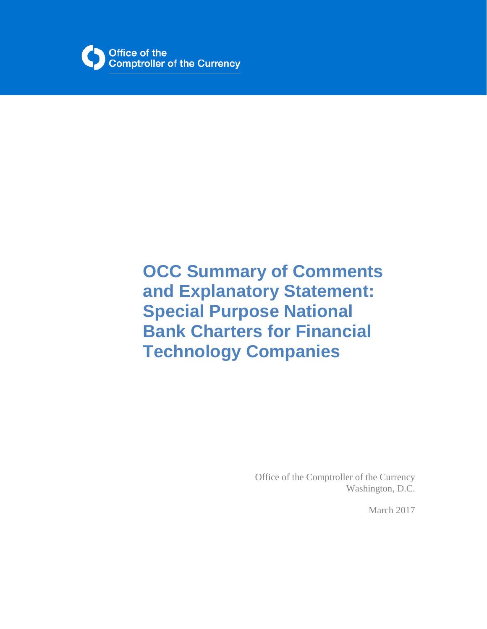

Office of the Comptroller of the Currency Washington, D.C.

March 2017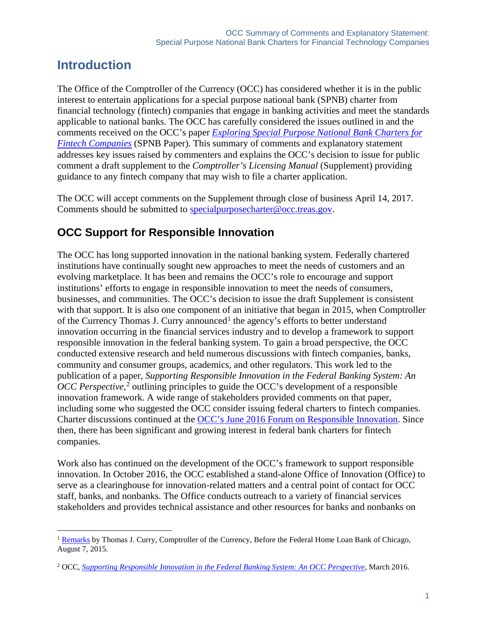## **Introduction**

The Office of the Comptroller of the Currency (OCC) has considered whether it is in the public interest to entertain applications for a special purpose national bank (SPNB) charter from financial technology (fintech) companies that engage in banking activities and meet the standards applicable to national banks. The OCC has carefully considered the issues outlined in and the comments received on the OCC's paper *[Exploring Special Purpose National Bank Charters for](https://www.occ.treas.gov/topics/bank-operations/innovation/comments/special-purpose-national-bank-charters-for-fintech.pdf)  [Fintech Companies](https://www.occ.treas.gov/topics/bank-operations/innovation/comments/special-purpose-national-bank-charters-for-fintech.pdf)* (SPNB Paper). This summary of comments and explanatory statement addresses key issues raised by commenters and explains the OCC's decision to issue for public comment a draft supplement to the *Comptroller's Licensing Manual* (Supplement) providing guidance to any fintech company that may wish to file a charter application.

The OCC will accept comments on the Supplement through close of business April 14, 2017. Comments should be submitted to [specialpurposecharter@occ.treas.gov.](mailto:specialpurposecharter@occ.treas.gov?subject=Comment%20on%20Draft%20Comptroller)

## **OCC Support for Responsible Innovation**

The OCC has long supported innovation in the national banking system. Federally chartered institutions have continually sought new approaches to meet the needs of customers and an evolving marketplace. It has been and remains the OCC's role to encourage and support institutions' efforts to engage in responsible innovation to meet the needs of consumers, businesses, and communities. The OCC's decision to issue the draft Supplement is consistent with that support. It is also one component of an initiative that began in 2015, when Comptroller of the Currency Thomas J. Curry announced<sup>[1](#page-1-0)</sup> the agency's efforts to better understand innovation occurring in the financial services industry and to develop a framework to support responsible innovation in the federal banking system. To gain a broad perspective, the OCC conducted extensive research and held numerous discussions with fintech companies, banks, community and consumer groups, academics, and other regulators. This work led to the publication of a paper, *Supporting Responsible Innovation in the Federal Banking System: An OCC Perspective*,<sup>[2](#page-1-1)</sup> outlining principles to guide the OCC's development of a responsible innovation framework. A wide range of stakeholders provided comments on that paper, including some who suggested the OCC consider issuing federal charters to fintech companies. Charter discussions continued at the [OCC's June 2016 Forum on Responsible Innovation.](https://www.occ.treas.gov/topics/bank-operations/innovation/innovation-forum-videos.html) Since then, there has been significant and growing interest in federal bank charters for fintech companies.

Work also has continued on the development of the OCC's framework to support responsible innovation. In October 2016, the OCC established a stand-alone Office of Innovation (Office) to serve as a clearinghouse for innovation-related matters and a central point of contact for OCC staff, banks, and nonbanks. The Office conducts outreach to a variety of financial services stakeholders and provides technical assistance and other resources for banks and nonbanks on

<span id="page-1-0"></span><sup>&</sup>lt;sup>1</sup> [Remarks](https://www.occ.treas.gov/news-issuances/speeches/2015/pub-speech-2015-111.pdf) by Thomas J. Curry, Comptroller of the Currency, Before the Federal Home Loan Bank of Chicago, August 7, 2015.

<span id="page-1-1"></span><sup>2</sup> OCC, *[Supporting Responsible Innovation in the Federal Banking System: An OCC Perspective](https://www.occ.treas.gov/publications/publications-by-type/other-publications-reports/pub-responsible-innovation-banking-system-occ-perspective.pdf)*, March 2016.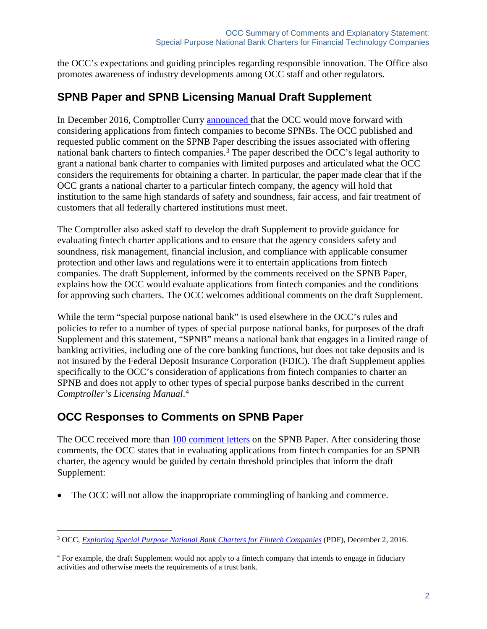the OCC's expectations and guiding principles regarding responsible innovation. The Office also promotes awareness of industry developments among OCC staff and other regulators.

### **SPNB Paper and SPNB Licensing Manual Draft Supplement**

In December 2016, Comptroller Curry [announced t](https://www.occ.gov/news-issuances/news-releases/2016/nr-occ-2016-152.html)hat the OCC would move forward with considering applications from fintech companies to become SPNBs. The OCC published and requested public comment on the SPNB Paper describing the issues associated with offering national bank charters to fintech companies.<sup>[3](#page-2-0)</sup> The paper described the OCC's legal authority to grant a national bank charter to companies with limited purposes and articulated what the OCC considers the requirements for obtaining a charter. In particular, the paper made clear that if the OCC grants a national charter to a particular fintech company, the agency will hold that institution to the same high standards of safety and soundness, fair access, and fair treatment of customers that all federally chartered institutions must meet.

The Comptroller also asked staff to develop the draft Supplement to provide guidance for evaluating fintech charter applications and to ensure that the agency considers safety and soundness, risk management, financial inclusion, and compliance with applicable consumer protection and other laws and regulations were it to entertain applications from fintech companies. The draft Supplement, informed by the comments received on the SPNB Paper, explains how the OCC would evaluate applications from fintech companies and the conditions for approving such charters. The OCC welcomes additional comments on the draft Supplement.

While the term "special purpose national bank" is used elsewhere in the OCC's rules and policies to refer to a number of types of special purpose national banks, for purposes of the draft Supplement and this statement, "SPNB" means a national bank that engages in a limited range of banking activities, including one of the core banking functions, but does not take deposits and is not insured by the Federal Deposit Insurance Corporation (FDIC). The draft Supplement applies specifically to the OCC's consideration of applications from fintech companies to charter an SPNB and does not apply to other types of special purpose banks described in the current *Comptroller's Licensing Manual*. [4](#page-2-1)

## **OCC Responses to Comments on SPNB Paper**

The OCC received more than [100 comment letters](https://www.occ.gov/topics/bank-operations/innovation/fintech-charter-comments.html) on the SPNB Paper. After considering those comments, the OCC states that in evaluating applications from fintech companies for an SPNB charter, the agency would be guided by certain threshold principles that inform the draft Supplement:

• The OCC will not allow the inappropriate commingling of banking and commerce.

<span id="page-2-0"></span><sup>3</sup> OCC, *[Exploring Special Purpose National Bank Charters for Fintech Companies](https://www.occ.gov/topics/bank-operations/innovation/comments/special-purpose-national-bank-charters-for-fintech.pdf)* (PDF), December 2, 2016.

<span id="page-2-1"></span><sup>&</sup>lt;sup>4</sup> For example, the draft Supplement would not apply to a fintech company that intends to engage in fiduciary activities and otherwise meets the requirements of a trust bank.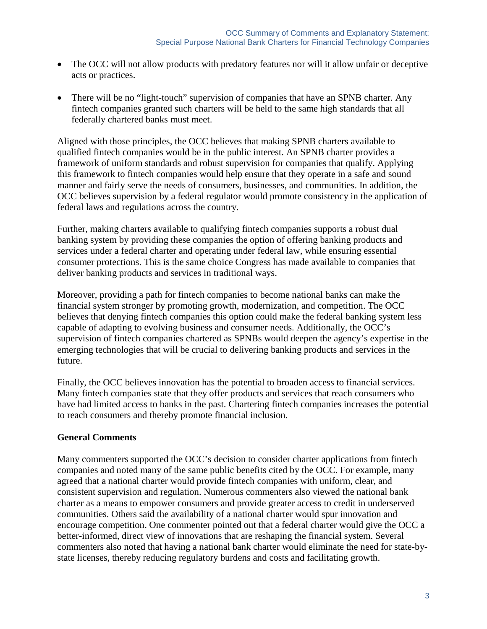- The OCC will not allow products with predatory features nor will it allow unfair or deceptive acts or practices.
- There will be no "light-touch" supervision of companies that have an SPNB charter. Any fintech companies granted such charters will be held to the same high standards that all federally chartered banks must meet.

Aligned with those principles, the OCC believes that making SPNB charters available to qualified fintech companies would be in the public interest. An SPNB charter provides a framework of uniform standards and robust supervision for companies that qualify. Applying this framework to fintech companies would help ensure that they operate in a safe and sound manner and fairly serve the needs of consumers, businesses, and communities. In addition, the OCC believes supervision by a federal regulator would promote consistency in the application of federal laws and regulations across the country.

Further, making charters available to qualifying fintech companies supports a robust dual banking system by providing these companies the option of offering banking products and services under a federal charter and operating under federal law, while ensuring essential consumer protections. This is the same choice Congress has made available to companies that deliver banking products and services in traditional ways.

Moreover, providing a path for fintech companies to become national banks can make the financial system stronger by promoting growth, modernization, and competition. The OCC believes that denying fintech companies this option could make the federal banking system less capable of adapting to evolving business and consumer needs. Additionally, the OCC's supervision of fintech companies chartered as SPNBs would deepen the agency's expertise in the emerging technologies that will be crucial to delivering banking products and services in the future.

Finally, the OCC believes innovation has the potential to broaden access to financial services. Many fintech companies state that they offer products and services that reach consumers who have had limited access to banks in the past. Chartering fintech companies increases the potential to reach consumers and thereby promote financial inclusion.

#### **General Comments**

Many commenters supported the OCC's decision to consider charter applications from fintech companies and noted many of the same public benefits cited by the OCC. For example, many agreed that a national charter would provide fintech companies with uniform, clear, and consistent supervision and regulation. Numerous commenters also viewed the national bank charter as a means to empower consumers and provide greater access to credit in underserved communities. Others said the availability of a national charter would spur innovation and encourage competition. One commenter pointed out that a federal charter would give the OCC a better-informed, direct view of innovations that are reshaping the financial system. Several commenters also noted that having a national bank charter would eliminate the need for state-bystate licenses, thereby reducing regulatory burdens and costs and facilitating growth.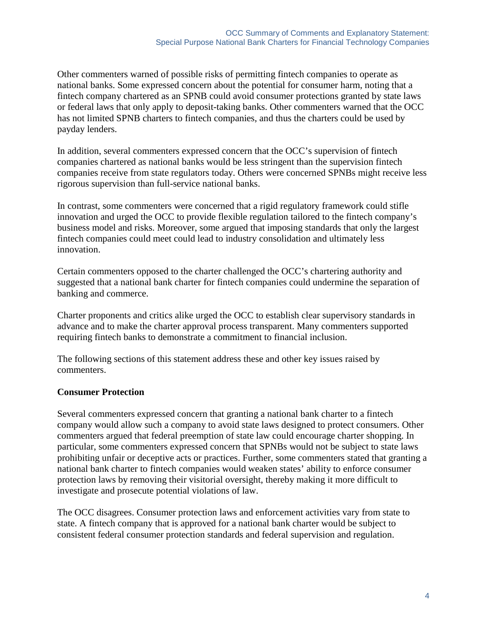Other commenters warned of possible risks of permitting fintech companies to operate as national banks. Some expressed concern about the potential for consumer harm, noting that a fintech company chartered as an SPNB could avoid consumer protections granted by state laws or federal laws that only apply to deposit-taking banks. Other commenters warned that the OCC has not limited SPNB charters to fintech companies, and thus the charters could be used by payday lenders.

In addition, several commenters expressed concern that the OCC's supervision of fintech companies chartered as national banks would be less stringent than the supervision fintech companies receive from state regulators today. Others were concerned SPNBs might receive less rigorous supervision than full-service national banks.

In contrast, some commenters were concerned that a rigid regulatory framework could stifle innovation and urged the OCC to provide flexible regulation tailored to the fintech company's business model and risks. Moreover, some argued that imposing standards that only the largest fintech companies could meet could lead to industry consolidation and ultimately less innovation.

Certain commenters opposed to the charter challenged the OCC's chartering authority and suggested that a national bank charter for fintech companies could undermine the separation of banking and commerce.

Charter proponents and critics alike urged the OCC to establish clear supervisory standards in advance and to make the charter approval process transparent. Many commenters supported requiring fintech banks to demonstrate a commitment to financial inclusion.

The following sections of this statement address these and other key issues raised by commenters.

#### **Consumer Protection**

Several commenters expressed concern that granting a national bank charter to a fintech company would allow such a company to avoid state laws designed to protect consumers. Other commenters argued that federal preemption of state law could encourage charter shopping. In particular, some commenters expressed concern that SPNBs would not be subject to state laws prohibiting unfair or deceptive acts or practices. Further, some commenters stated that granting a national bank charter to fintech companies would weaken states' ability to enforce consumer protection laws by removing their visitorial oversight, thereby making it more difficult to investigate and prosecute potential violations of law.

The OCC disagrees. Consumer protection laws and enforcement activities vary from state to state. A fintech company that is approved for a national bank charter would be subject to consistent federal consumer protection standards and federal supervision and regulation.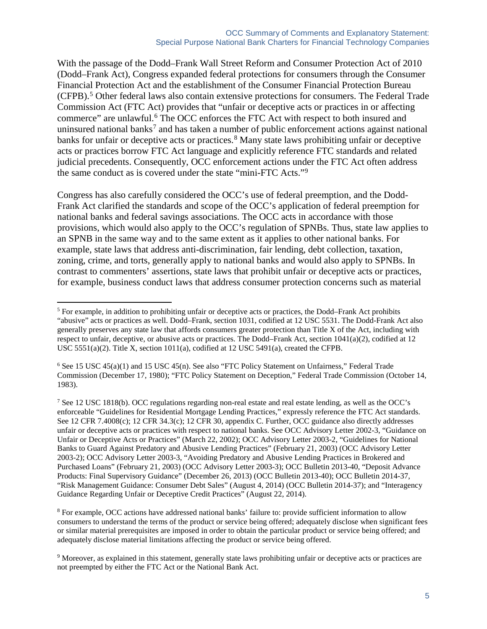With the passage of the Dodd–Frank Wall Street Reform and Consumer Protection Act of 2010 (Dodd–Frank Act), Congress expanded federal protections for consumers through the Consumer Financial Protection Act and the establishment of the Consumer Financial Protection Bureau (CFPB).[5](#page-5-0) Other federal laws also contain extensive protections for consumers. The Federal Trade Commission Act (FTC Act) provides that "unfair or deceptive acts or practices in or affecting commerce" are unlawful.<sup>[6](#page-5-1)</sup> The OCC enforces the FTC Act with respect to both insured and uninsured national banks<sup>[7](#page-5-2)</sup> and has taken a number of public enforcement actions against national banks for unfair or deceptive acts or practices.<sup>[8](#page-5-3)</sup> Many state laws prohibiting unfair or deceptive acts or practices borrow FTC Act language and explicitly reference FTC standards and related judicial precedents. Consequently, OCC enforcement actions under the FTC Act often address the same conduct as is covered under the state "mini-FTC Acts.["9](#page-5-4)

Congress has also carefully considered the OCC's use of federal preemption, and the Dodd-Frank Act clarified the standards and scope of the OCC's application of federal preemption for national banks and federal savings associations. The OCC acts in accordance with those provisions, which would also apply to the OCC's regulation of SPNBs. Thus, state law applies to an SPNB in the same way and to the same extent as it applies to other national banks. For example, state laws that address anti-discrimination, fair lending, debt collection, taxation, zoning, crime, and torts, generally apply to national banks and would also apply to SPNBs. In contrast to commenters' assertions, state laws that prohibit unfair or deceptive acts or practices, for example, business conduct laws that address consumer protection concerns such as material

<span id="page-5-0"></span> $<sup>5</sup>$  For example, in addition to prohibiting unfair or deceptive acts or practices, the Dodd–Frank Act prohibits</sup> "abusive" acts or practices as well. Dodd–Frank, section 1031, codified at 12 USC 5531. The Dodd-Frank Act also generally preserves any state law that affords consumers greater protection than Title X of the Act, including with respect to unfair, deceptive, or abusive acts or practices. The Dodd–Frank Act, section 1041(a)(2), codified at 12 USC 5551(a)(2). Title X, section 1011(a), codified at 12 USC 5491(a), created the CFPB.

<span id="page-5-1"></span> $6$  See 15 USC 45(a)(1) and 15 USC 45(n). See also "FTC Policy Statement on Unfairness," Federal Trade Commission (December 17, 1980); "FTC Policy Statement on Deception," Federal Trade Commission (October 14, 1983).

<span id="page-5-2"></span><sup>7</sup> See 12 USC 1818(b). OCC regulations regarding non-real estate and real estate lending, as well as the OCC's enforceable "Guidelines for Residential Mortgage Lending Practices," expressly reference the FTC Act standards. See 12 CFR 7.4008(c); 12 CFR 34.3(c); 12 CFR 30, appendix C. Further, OCC guidance also directly addresses unfair or deceptive acts or practices with respect to national banks. See OCC Advisory Letter 2002-3, "Guidance on Unfair or Deceptive Acts or Practices" (March 22, 2002); OCC Advisory Letter 2003-2, "Guidelines for National Banks to Guard Against Predatory and Abusive Lending Practices" (February 21, 2003) (OCC Advisory Letter 2003-2); OCC Advisory Letter 2003-3, "Avoiding Predatory and Abusive Lending Practices in Brokered and Purchased Loans" (February 21, 2003) (OCC Advisory Letter 2003-3); OCC Bulletin 2013-40, "Deposit Advance Products: Final Supervisory Guidance" (December 26, 2013) (OCC Bulletin 2013-40); OCC Bulletin 2014-37, "Risk Management Guidance: Consumer Debt Sales" (August 4, 2014) (OCC Bulletin 2014-37); and "Interagency Guidance Regarding Unfair or Deceptive Credit Practices" (August 22, 2014).

<span id="page-5-3"></span><sup>8</sup> For example, OCC actions have addressed national banks' failure to: provide sufficient information to allow consumers to understand the terms of the product or service being offered; adequately disclose when significant fees or similar material prerequisites are imposed in order to obtain the particular product or service being offered; and adequately disclose material limitations affecting the product or service being offered.

<span id="page-5-4"></span><sup>9</sup> Moreover, as explained in this statement, generally state laws prohibiting unfair or deceptive acts or practices are not preempted by either the FTC Act or the National Bank Act.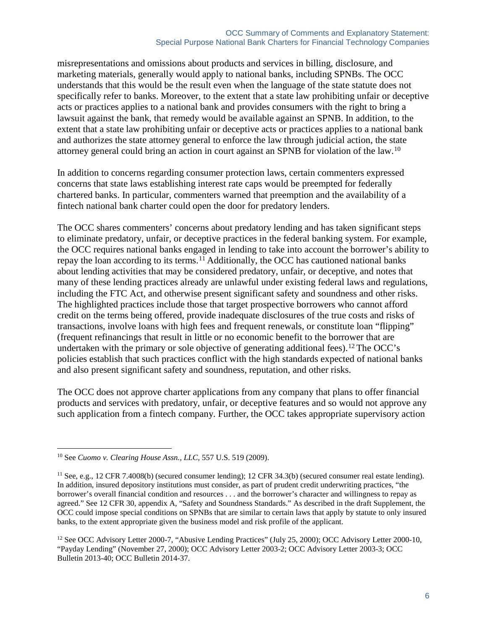misrepresentations and omissions about products and services in billing, disclosure, and marketing materials, generally would apply to national banks, including SPNBs. The OCC understands that this would be the result even when the language of the state statute does not specifically refer to banks. Moreover, to the extent that a state law prohibiting unfair or deceptive acts or practices applies to a national bank and provides consumers with the right to bring a lawsuit against the bank, that remedy would be available against an SPNB. In addition, to the extent that a state law prohibiting unfair or deceptive acts or practices applies to a national bank and authorizes the state attorney general to enforce the law through judicial action, the state attorney general could bring an action in court against an SPNB for violation of the law.[10](#page-6-0)

In addition to concerns regarding consumer protection laws, certain commenters expressed concerns that state laws establishing interest rate caps would be preempted for federally chartered banks. In particular, commenters warned that preemption and the availability of a fintech national bank charter could open the door for predatory lenders.

The OCC shares commenters' concerns about predatory lending and has taken significant steps to eliminate predatory, unfair, or deceptive practices in the federal banking system. For example, the OCC requires national banks engaged in lending to take into account the borrower's ability to repay the loan according to its terms.[11](#page-6-1) Additionally, the OCC has cautioned national banks about lending activities that may be considered predatory, unfair, or deceptive, and notes that many of these lending practices already are unlawful under existing federal laws and regulations, including the FTC Act, and otherwise present significant safety and soundness and other risks. The highlighted practices include those that target prospective borrowers who cannot afford credit on the terms being offered, provide inadequate disclosures of the true costs and risks of transactions, involve loans with high fees and frequent renewals, or constitute loan "flipping" (frequent refinancings that result in little or no economic benefit to the borrower that are undertaken with the primary or sole objective of generating additional fees).<sup>[12](#page-6-2)</sup> The OCC's policies establish that such practices conflict with the high standards expected of national banks and also present significant safety and soundness, reputation, and other risks.

The OCC does not approve charter applications from any company that plans to offer financial products and services with predatory, unfair, or deceptive features and so would not approve any such application from a fintech company. Further, the OCC takes appropriate supervisory action

<span id="page-6-0"></span> <sup>10</sup> See *Cuomo v. Clearing House Assn., LLC,* 557 U.S. 519 (2009).

<span id="page-6-1"></span><sup>&</sup>lt;sup>11</sup> See, e.g., 12 CFR 7.4008(b) (secured consumer lending); 12 CFR 34.3(b) (secured consumer real estate lending). In addition, insured depository institutions must consider, as part of prudent credit underwriting practices, "the borrower's overall financial condition and resources . . . and the borrower's character and willingness to repay as agreed." See 12 CFR 30, appendix A, "Safety and Soundness Standards." As described in the draft Supplement, the OCC could impose special conditions on SPNBs that are similar to certain laws that apply by statute to only insured banks, to the extent appropriate given the business model and risk profile of the applicant.

<span id="page-6-2"></span><sup>&</sup>lt;sup>12</sup> See OCC Advisory Letter 2000-7, "Abusive Lending Practices" (July 25, 2000); OCC Advisory Letter 2000-10, "Payday Lending" (November 27, 2000); OCC Advisory Letter 2003-2; OCC Advisory Letter 2003-3; OCC Bulletin 2013-40; OCC Bulletin 2014-37.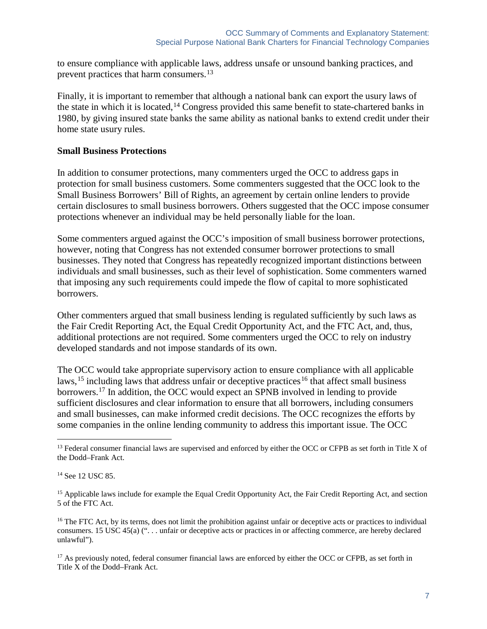to ensure compliance with applicable laws, address unsafe or unsound banking practices, and prevent practices that harm consumers.<sup>[13](#page-7-0)</sup>

Finally, it is important to remember that although a national bank can export the usury laws of the state in which it is located,<sup>[14](#page-7-1)</sup> Congress provided this same benefit to state-chartered banks in 1980, by giving insured state banks the same ability as national banks to extend credit under their home state usury rules.

#### **Small Business Protections**

In addition to consumer protections, many commenters urged the OCC to address gaps in protection for small business customers. Some commenters suggested that the OCC look to the Small Business Borrowers' Bill of Rights, an agreement by certain online lenders to provide certain disclosures to small business borrowers. Others suggested that the OCC impose consumer protections whenever an individual may be held personally liable for the loan.

Some commenters argued against the OCC's imposition of small business borrower protections, however, noting that Congress has not extended consumer borrower protections to small businesses. They noted that Congress has repeatedly recognized important distinctions between individuals and small businesses, such as their level of sophistication. Some commenters warned that imposing any such requirements could impede the flow of capital to more sophisticated borrowers.

Other commenters argued that small business lending is regulated sufficiently by such laws as the Fair Credit Reporting Act, the Equal Credit Opportunity Act, and the FTC Act, and, thus, additional protections are not required. Some commenters urged the OCC to rely on industry developed standards and not impose standards of its own.

The OCC would take appropriate supervisory action to ensure compliance with all applicable laws,<sup>[15](#page-7-2)</sup> including laws that address unfair or deceptive practices<sup>[16](#page-7-3)</sup> that affect small business borrowers.[17](#page-7-4) In addition, the OCC would expect an SPNB involved in lending to provide sufficient disclosures and clear information to ensure that all borrowers, including consumers and small businesses, can make informed credit decisions. The OCC recognizes the efforts by some companies in the online lending community to address this important issue. The OCC

<span id="page-7-0"></span> $13$  Federal consumer financial laws are supervised and enforced by either the OCC or CFPB as set forth in Title X of the Dodd–Frank Act.

<span id="page-7-1"></span><sup>&</sup>lt;sup>14</sup> See 12 USC 85.

<span id="page-7-2"></span><sup>&</sup>lt;sup>15</sup> Applicable laws include for example the Equal Credit Opportunity Act, the Fair Credit Reporting Act, and section 5 of the FTC Act.

<span id="page-7-3"></span><sup>&</sup>lt;sup>16</sup> The FTC Act, by its terms, does not limit the prohibition against unfair or deceptive acts or practices to individual consumers. 15 USC 45(a)  $($ "... unfair or deceptive acts or practices in or affecting commerce, are hereby declared unlawful").

<span id="page-7-4"></span> $17$  As previously noted, federal consumer financial laws are enforced by either the OCC or CFPB, as set forth in Title X of the Dodd–Frank Act.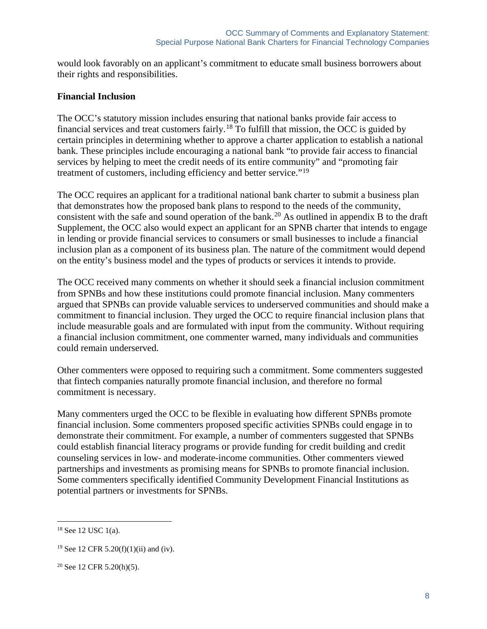would look favorably on an applicant's commitment to educate small business borrowers about their rights and responsibilities.

#### **Financial Inclusion**

The OCC's statutory mission includes ensuring that national banks provide fair access to financial services and treat customers fairly.<sup>[18](#page-8-0)</sup> To fulfill that mission, the OCC is guided by certain principles in determining whether to approve a charter application to establish a national bank. These principles include encouraging a national bank "to provide fair access to financial services by helping to meet the credit needs of its entire community" and "promoting fair treatment of customers, including efficiency and better service."[19](#page-8-1)

The OCC requires an applicant for a traditional national bank charter to submit a business plan that demonstrates how the proposed bank plans to respond to the needs of the community, consistent with the safe and sound operation of the bank.[20](#page-8-2) As outlined in appendix B to the draft Supplement, the OCC also would expect an applicant for an SPNB charter that intends to engage in lending or provide financial services to consumers or small businesses to include a financial inclusion plan as a component of its business plan. The nature of the commitment would depend on the entity's business model and the types of products or services it intends to provide.

The OCC received many comments on whether it should seek a financial inclusion commitment from SPNBs and how these institutions could promote financial inclusion. Many commenters argued that SPNBs can provide valuable services to underserved communities and should make a commitment to financial inclusion. They urged the OCC to require financial inclusion plans that include measurable goals and are formulated with input from the community. Without requiring a financial inclusion commitment, one commenter warned, many individuals and communities could remain underserved.

Other commenters were opposed to requiring such a commitment. Some commenters suggested that fintech companies naturally promote financial inclusion, and therefore no formal commitment is necessary.

Many commenters urged the OCC to be flexible in evaluating how different SPNBs promote financial inclusion. Some commenters proposed specific activities SPNBs could engage in to demonstrate their commitment. For example, a number of commenters suggested that SPNBs could establish financial literacy programs or provide funding for credit building and credit counseling services in low- and moderate-income communities. Other commenters viewed partnerships and investments as promising means for SPNBs to promote financial inclusion. Some commenters specifically identified Community Development Financial Institutions as potential partners or investments for SPNBs.

<span id="page-8-0"></span> $18$  See 12 USC 1(a).

<span id="page-8-1"></span><sup>&</sup>lt;sup>19</sup> See 12 CFR 5.20(f)(1)(ii) and (iv).

<span id="page-8-2"></span><sup>20</sup> See 12 CFR 5.20(h)(5).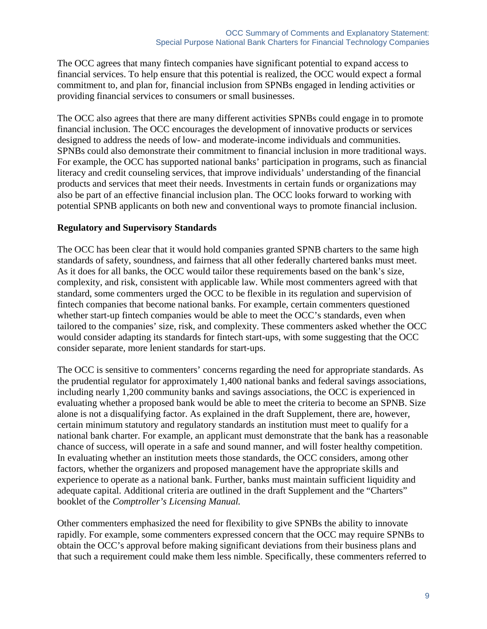The OCC agrees that many fintech companies have significant potential to expand access to financial services. To help ensure that this potential is realized, the OCC would expect a formal commitment to, and plan for, financial inclusion from SPNBs engaged in lending activities or providing financial services to consumers or small businesses.

The OCC also agrees that there are many different activities SPNBs could engage in to promote financial inclusion. The OCC encourages the development of innovative products or services designed to address the needs of low- and moderate-income individuals and communities. SPNBs could also demonstrate their commitment to financial inclusion in more traditional ways. For example, the OCC has supported national banks' participation in programs, such as financial literacy and credit counseling services, that improve individuals' understanding of the financial products and services that meet their needs. Investments in certain funds or organizations may also be part of an effective financial inclusion plan. The OCC looks forward to working with potential SPNB applicants on both new and conventional ways to promote financial inclusion.

#### **Regulatory and Supervisory Standards**

The OCC has been clear that it would hold companies granted SPNB charters to the same high standards of safety, soundness, and fairness that all other federally chartered banks must meet. As it does for all banks, the OCC would tailor these requirements based on the bank's size, complexity, and risk, consistent with applicable law. While most commenters agreed with that standard, some commenters urged the OCC to be flexible in its regulation and supervision of fintech companies that become national banks. For example, certain commenters questioned whether start-up fintech companies would be able to meet the OCC's standards, even when tailored to the companies' size, risk, and complexity. These commenters asked whether the OCC would consider adapting its standards for fintech start-ups, with some suggesting that the OCC consider separate, more lenient standards for start-ups.

The OCC is sensitive to commenters' concerns regarding the need for appropriate standards. As the prudential regulator for approximately 1,400 national banks and federal savings associations, including nearly 1,200 community banks and savings associations, the OCC is experienced in evaluating whether a proposed bank would be able to meet the criteria to become an SPNB. Size alone is not a disqualifying factor. As explained in the draft Supplement, there are, however, certain minimum statutory and regulatory standards an institution must meet to qualify for a national bank charter. For example, an applicant must demonstrate that the bank has a reasonable chance of success, will operate in a safe and sound manner, and will foster healthy competition. In evaluating whether an institution meets those standards, the OCC considers, among other factors, whether the organizers and proposed management have the appropriate skills and experience to operate as a national bank. Further, banks must maintain sufficient liquidity and adequate capital. Additional criteria are outlined in the draft Supplement and the "Charters" booklet of the *Comptroller's Licensing Manual.*

Other commenters emphasized the need for flexibility to give SPNBs the ability to innovate rapidly. For example, some commenters expressed concern that the OCC may require SPNBs to obtain the OCC's approval before making significant deviations from their business plans and that such a requirement could make them less nimble. Specifically, these commenters referred to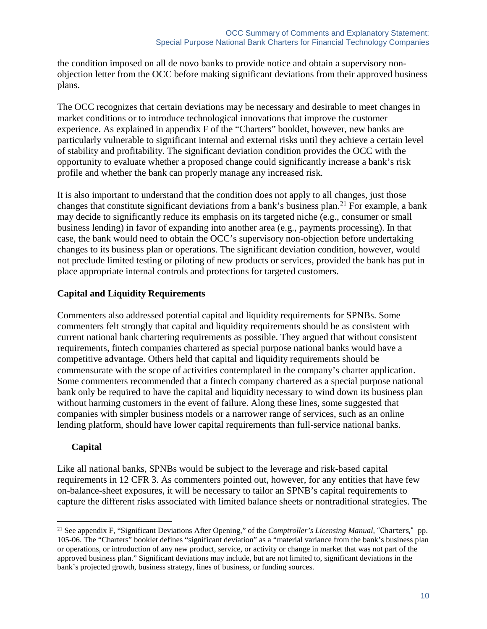the condition imposed on all de novo banks to provide notice and obtain a supervisory nonobjection letter from the OCC before making significant deviations from their approved business plans.

The OCC recognizes that certain deviations may be necessary and desirable to meet changes in market conditions or to introduce technological innovations that improve the customer experience. As explained in appendix F of the "Charters" booklet, however, new banks are particularly vulnerable to significant internal and external risks until they achieve a certain level of stability and profitability. The significant deviation condition provides the OCC with the opportunity to evaluate whether a proposed change could significantly increase a bank's risk profile and whether the bank can properly manage any increased risk.

It is also important to understand that the condition does not apply to all changes, just those changes that constitute significant deviations from a bank's business plan.<sup>[21](#page-10-0)</sup> For example, a bank may decide to significantly reduce its emphasis on its targeted niche (e.g., consumer or small business lending) in favor of expanding into another area (e.g., payments processing). In that case, the bank would need to obtain the OCC's supervisory non-objection before undertaking changes to its business plan or operations. The significant deviation condition, however, would not preclude limited testing or piloting of new products or services, provided the bank has put in place appropriate internal controls and protections for targeted customers.

#### **Capital and Liquidity Requirements**

Commenters also addressed potential capital and liquidity requirements for SPNBs. Some commenters felt strongly that capital and liquidity requirements should be as consistent with current national bank chartering requirements as possible. They argued that without consistent requirements, fintech companies chartered as special purpose national banks would have a competitive advantage. Others held that capital and liquidity requirements should be commensurate with the scope of activities contemplated in the company's charter application. Some commenters recommended that a fintech company chartered as a special purpose national bank only be required to have the capital and liquidity necessary to wind down its business plan without harming customers in the event of failure. Along these lines, some suggested that companies with simpler business models or a narrower range of services, such as an online lending platform, should have lower capital requirements than full-service national banks.

#### **Capital**

Like all national banks, SPNBs would be subject to the leverage and risk-based capital requirements in 12 CFR 3. As commenters pointed out, however, for any entities that have few on-balance-sheet exposures, it will be necessary to tailor an SPNB's capital requirements to capture the different risks associated with limited balance sheets or nontraditional strategies. The

<span id="page-10-0"></span> <sup>21</sup> See appendix F, "Significant Deviations After Opening," of the *Comptroller's Licensing Manual,* "Charters," pp. 105-06. The "Charters" booklet defines "significant deviation" as a "material variance from the bank's business plan or operations, or introduction of any new product, service, or activity or change in market that was not part of the approved business plan." Significant deviations may include, but are not limited to, significant deviations in the bank's projected growth, business strategy, lines of business, or funding sources.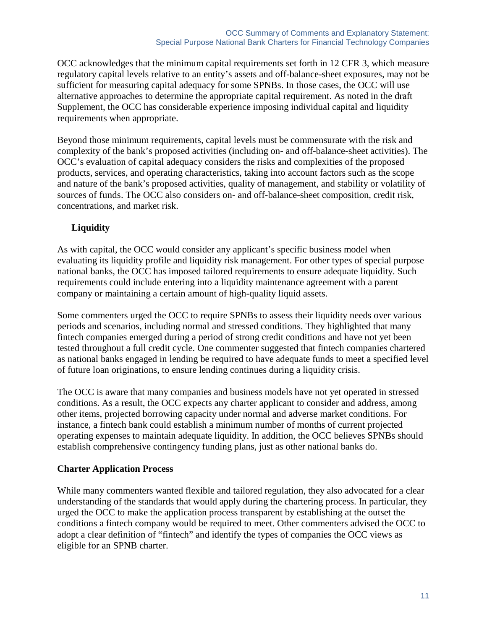OCC acknowledges that the minimum capital requirements set forth in 12 CFR 3, which measure regulatory capital levels relative to an entity's assets and off-balance-sheet exposures, may not be sufficient for measuring capital adequacy for some SPNBs. In those cases, the OCC will use alternative approaches to determine the appropriate capital requirement. As noted in the draft Supplement, the OCC has considerable experience imposing individual capital and liquidity requirements when appropriate.

Beyond those minimum requirements, capital levels must be commensurate with the risk and complexity of the bank's proposed activities (including on- and off-balance-sheet activities). The OCC's evaluation of capital adequacy considers the risks and complexities of the proposed products, services, and operating characteristics, taking into account factors such as the scope and nature of the bank's proposed activities, quality of management, and stability or volatility of sources of funds. The OCC also considers on- and off-balance-sheet composition, credit risk, concentrations, and market risk.

#### **Liquidity**

As with capital, the OCC would consider any applicant's specific business model when evaluating its liquidity profile and liquidity risk management. For other types of special purpose national banks, the OCC has imposed tailored requirements to ensure adequate liquidity. Such requirements could include entering into a liquidity maintenance agreement with a parent company or maintaining a certain amount of high-quality liquid assets.

Some commenters urged the OCC to require SPNBs to assess their liquidity needs over various periods and scenarios, including normal and stressed conditions. They highlighted that many fintech companies emerged during a period of strong credit conditions and have not yet been tested throughout a full credit cycle. One commenter suggested that fintech companies chartered as national banks engaged in lending be required to have adequate funds to meet a specified level of future loan originations, to ensure lending continues during a liquidity crisis.

The OCC is aware that many companies and business models have not yet operated in stressed conditions. As a result, the OCC expects any charter applicant to consider and address, among other items, projected borrowing capacity under normal and adverse market conditions. For instance, a fintech bank could establish a minimum number of months of current projected operating expenses to maintain adequate liquidity. In addition, the OCC believes SPNBs should establish comprehensive contingency funding plans, just as other national banks do.

#### **Charter Application Process**

While many commenters wanted flexible and tailored regulation, they also advocated for a clear understanding of the standards that would apply during the chartering process. In particular, they urged the OCC to make the application process transparent by establishing at the outset the conditions a fintech company would be required to meet. Other commenters advised the OCC to adopt a clear definition of "fintech" and identify the types of companies the OCC views as eligible for an SPNB charter.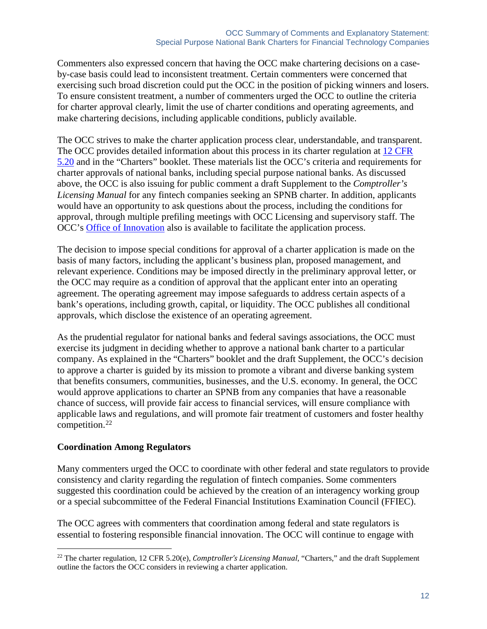Commenters also expressed concern that having the OCC make chartering decisions on a caseby-case basis could lead to inconsistent treatment. Certain commenters were concerned that exercising such broad discretion could put the OCC in the position of picking winners and losers. To ensure consistent treatment, a number of commenters urged the OCC to outline the criteria for charter approval clearly, limit the use of charter conditions and operating agreements, and make chartering decisions, including applicable conditions, publicly available.

The OCC strives to make the charter application process clear, understandable, and transparent. The OCC provides detailed information about this process in its charter regulation at [12 CFR](http://www.ecfr.gov/cgi-bin/text-idx?SID=bd897896c42c36e9a5878464f68a750c&mc=true&node=se12.1.5_120&rgn=div8)  [5.20](http://www.ecfr.gov/cgi-bin/text-idx?SID=bd897896c42c36e9a5878464f68a750c&mc=true&node=se12.1.5_120&rgn=div8) and in the "Charters" booklet. These materials list the OCC's criteria and requirements for charter approvals of national banks, including special purpose national banks. As discussed above, the OCC is also issuing for public comment a draft Supplement to the *Comptroller's Licensing Manual* for any fintech companies seeking an SPNB charter. In addition, applicants would have an opportunity to ask questions about the process, including the conditions for approval, through multiple prefiling meetings with OCC Licensing and supervisory staff. The OCC's [Office of Innovation](mailto:innovation@occ.treas.gov) also is available to facilitate the application process.

The decision to impose special conditions for approval of a charter application is made on the basis of many factors, including the applicant's business plan, proposed management, and relevant experience. Conditions may be imposed directly in the preliminary approval letter, or the OCC may require as a condition of approval that the applicant enter into an operating agreement. The operating agreement may impose safeguards to address certain aspects of a bank's operations, including growth, capital, or liquidity. The OCC publishes all conditional approvals, which disclose the existence of an operating agreement.

As the prudential regulator for national banks and federal savings associations, the OCC must exercise its judgment in deciding whether to approve a national bank charter to a particular company. As explained in the "Charters" booklet and the draft Supplement, the OCC's decision to approve a charter is guided by its mission to promote a vibrant and diverse banking system that benefits consumers, communities, businesses, and the U.S. economy. In general, the OCC would approve applications to charter an SPNB from any companies that have a reasonable chance of success, will provide fair access to financial services, will ensure compliance with applicable laws and regulations, and will promote fair treatment of customers and foster healthy competition.[22](#page-12-0)

#### **Coordination Among Regulators**

Many commenters urged the OCC to coordinate with other federal and state regulators to provide consistency and clarity regarding the regulation of fintech companies. Some commenters suggested this coordination could be achieved by the creation of an interagency working group or a special subcommittee of the Federal Financial Institutions Examination Council (FFIEC).

The OCC agrees with commenters that coordination among federal and state regulators is essential to fostering responsible financial innovation. The OCC will continue to engage with

<span id="page-12-0"></span> <sup>22</sup> The charter regulation, 12 CFR 5.20(e), *Comptroller's Licensing Manual*, "Charters," and the draft Supplement outline the factors the OCC considers in reviewing a charter application.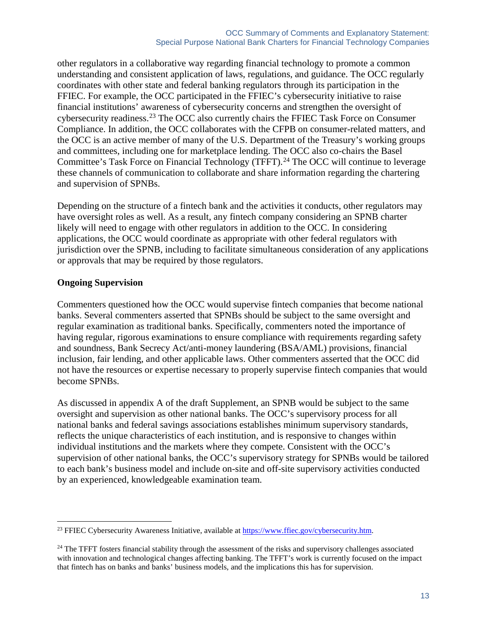other regulators in a collaborative way regarding financial technology to promote a common understanding and consistent application of laws, regulations, and guidance. The OCC regularly coordinates with other state and federal banking regulators through its participation in the FFIEC. For example, the OCC participated in the FFIEC's cybersecurity initiative to raise financial institutions' awareness of cybersecurity concerns and strengthen the oversight of cybersecurity readiness.[23](#page-13-0) The OCC also currently chairs the FFIEC Task Force on Consumer Compliance. In addition, the OCC collaborates with the CFPB on consumer-related matters, and the OCC is an active member of many of the U.S. Department of the Treasury's working groups and committees, including one for marketplace lending. The OCC also co-chairs the Basel Committee's Task Force on Financial Technology (TFFT).<sup>[24](#page-13-1)</sup> The OCC will continue to leverage these channels of communication to collaborate and share information regarding the chartering and supervision of SPNBs.

Depending on the structure of a fintech bank and the activities it conducts, other regulators may have oversight roles as well. As a result, any fintech company considering an SPNB charter likely will need to engage with other regulators in addition to the OCC. In considering applications, the OCC would coordinate as appropriate with other federal regulators with jurisdiction over the SPNB, including to facilitate simultaneous consideration of any applications or approvals that may be required by those regulators.

#### **Ongoing Supervision**

Commenters questioned how the OCC would supervise fintech companies that become national banks. Several commenters asserted that SPNBs should be subject to the same oversight and regular examination as traditional banks. Specifically, commenters noted the importance of having regular, rigorous examinations to ensure compliance with requirements regarding safety and soundness, Bank Secrecy Act/anti-money laundering (BSA/AML) provisions, financial inclusion, fair lending, and other applicable laws. Other commenters asserted that the OCC did not have the resources or expertise necessary to properly supervise fintech companies that would become SPNBs.

As discussed in appendix A of the draft Supplement, an SPNB would be subject to the same oversight and supervision as other national banks. The OCC's supervisory process for all national banks and federal savings associations establishes minimum supervisory standards, reflects the unique characteristics of each institution, and is responsive to changes within individual institutions and the markets where they compete. Consistent with the OCC's supervision of other national banks, the OCC's supervisory strategy for SPNBs would be tailored to each bank's business model and include on-site and off-site supervisory activities conducted by an experienced, knowledgeable examination team.

<span id="page-13-0"></span><sup>&</sup>lt;sup>23</sup> FFIEC Cybersecurity Awareness Initiative, available at [https://www.ffiec.gov/cybersecurity.htm.](https://www.ffiec.gov/cybersecurity.htm)

<span id="page-13-1"></span> $24$  The TFFT fosters financial stability through the assessment of the risks and supervisory challenges associated with innovation and technological changes affecting banking. The TFFT's work is currently focused on the impact that fintech has on banks and banks' business models, and the implications this has for supervision.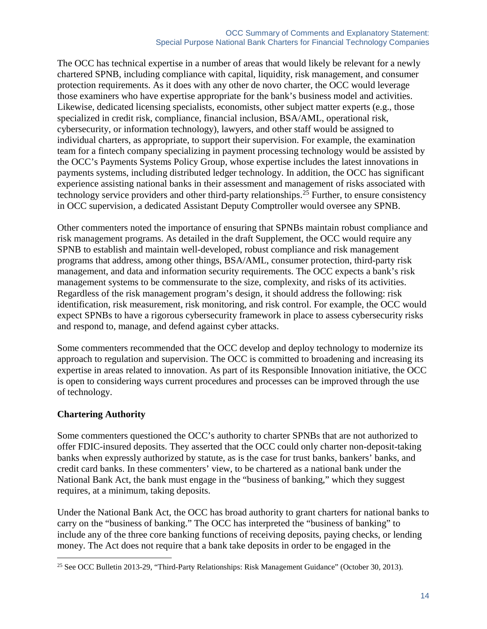The OCC has technical expertise in a number of areas that would likely be relevant for a newly chartered SPNB, including compliance with capital, liquidity, risk management, and consumer protection requirements. As it does with any other de novo charter, the OCC would leverage those examiners who have expertise appropriate for the bank's business model and activities. Likewise, dedicated licensing specialists, economists, other subject matter experts (e.g., those specialized in credit risk, compliance, financial inclusion, BSA/AML, operational risk, cybersecurity, or information technology), lawyers, and other staff would be assigned to individual charters, as appropriate, to support their supervision. For example, the examination team for a fintech company specializing in payment processing technology would be assisted by the OCC's Payments Systems Policy Group, whose expertise includes the latest innovations in payments systems, including distributed ledger technology. In addition, the OCC has significant experience assisting national banks in their assessment and management of risks associated with technology service providers and other third-party relationships.<sup>[25](#page-14-0)</sup> Further, to ensure consistency in OCC supervision, a dedicated Assistant Deputy Comptroller would oversee any SPNB.

Other commenters noted the importance of ensuring that SPNBs maintain robust compliance and risk management programs. As detailed in the draft Supplement, the OCC would require any SPNB to establish and maintain well-developed, robust compliance and risk management programs that address, among other things, BSA/AML, consumer protection, third-party risk management, and data and information security requirements. The OCC expects a bank's risk management systems to be commensurate to the size, complexity, and risks of its activities. Regardless of the risk management program's design, it should address the following: risk identification, risk measurement, risk monitoring, and risk control. For example, the OCC would expect SPNBs to have a rigorous cybersecurity framework in place to assess cybersecurity risks and respond to, manage, and defend against cyber attacks.

Some commenters recommended that the OCC develop and deploy technology to modernize its approach to regulation and supervision. The OCC is committed to broadening and increasing its expertise in areas related to innovation. As part of its Responsible Innovation initiative, the OCC is open to considering ways current procedures and processes can be improved through the use of technology.

#### **Chartering Authority**

Some commenters questioned the OCC's authority to charter SPNBs that are not authorized to offer FDIC-insured deposits. They asserted that the OCC could only charter non-deposit-taking banks when expressly authorized by statute, as is the case for trust banks, bankers' banks, and credit card banks. In these commenters' view, to be chartered as a national bank under the National Bank Act, the bank must engage in the "business of banking," which they suggest requires, at a minimum, taking deposits.

Under the National Bank Act, the OCC has broad authority to grant charters for national banks to carry on the "business of banking." The OCC has interpreted the "business of banking" to include any of the three core banking functions of receiving deposits, paying checks, or lending money. The Act does not require that a bank take deposits in order to be engaged in the

<span id="page-14-0"></span><sup>&</sup>lt;sup>25</sup> See OCC Bulletin 2013-29, "Third-Party Relationships: Risk Management Guidance" (October 30, 2013).